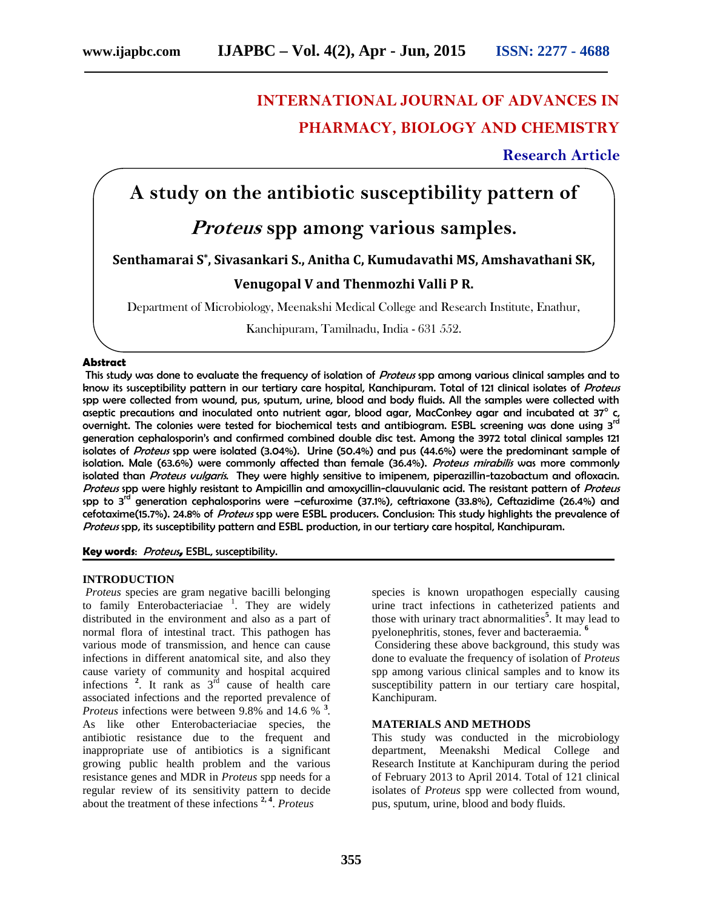# **INTERNATIONAL JOURNAL OF ADVANCES IN PHARMACY, BIOLOGY AND CHEMISTRY**

**Research Article**

# **A study on the antibiotic susceptibility pattern of**

# *Proteus* **spp among various samples.**

### **Senthamarai S\* , Sivasankari S., Anitha C, Kumudavathi MS, Amshavathani SK,**

### **Venugopal V and Thenmozhi Valli P R.**

Department of Microbiology, Meenakshi Medical College and Research Institute, Enathur,

Kanchipuram, Tamilnadu, India - 631 552.

#### **Abstract**

This study was done to evaluate the frequency of isolation of *Proteus* spp among various clinical samples and to know its susceptibility pattern in our tertiary care hospital, Kanchipuram. Total of 121 clinical isolates of *Proteus* spp were collected from wound, pus, sputum, urine, blood and body fluids. All the samples were collected with aseptic precautions and inoculated onto nutrient agar, blood agar, MacConkey agar and incubated at  $37^\circ$  c, overnight. The colonies were tested for biochemical tests and antibiogram. ESBL screening was done using 3<sup>rd</sup> generation cephalosporin's and confirmed combined double disc test. Among the 3972 total clinical samples 121 isolates of *Proteus* spp were isolated (3.04%). Urine (50.4%) and pus (44.6%) were the predominant sample of isolation. Male (63.6%) were commonly affected than female (36.4%). *Proteus mirabilis* was more commonly isolated than *Proteus vulgaris*. They were highly sensitive to imipenem, piperazillin-tazobactum and ofloxacin. *Proteus* spp were highly resistant to Ampicillin and amoxycillin-clauvulanic acid. The resistant pattern of *Proteus* spp to  $3^{\text{rd}}$  generation cephalosporins were -cefuroxime (37.1%), ceftriaxone (33.8%), Ceftazidime (26.4%) and cefotaxime(15.7%). 24.8% of *Proteus* spp were ESBL producers. Conclusion: This study highlights the prevalence of *Proteus* spp, its susceptibility pattern and ESBL production, in our tertiary care hospital, Kanchipuram.

**Key words**: *Proteus***,** ESBL, susceptibility.

#### **INTRODUCTION**

*Proteus* species are gram negative bacilli belonging to family Enterobacteriaciae  $\frac{1}{1}$ . They are widely distributed in the environment and also as a part of normal flora of intestinal tract. This pathogen has various mode of transmission, and hence can cause infections in different anatomical site, and also they cause variety of community and hospital acquired infections  $\frac{2}{x}$ . It rank as  $3^{rd}$  cause of health care associated infections and the reported prevalence of *Proteus* infections were between 9.8% and 14.6 % **3** *.* As like other Enterobacteriaciae species, the antibiotic resistance due to the frequent and inappropriate use of antibiotics is a significant growing public health problem and the various resistance genes and MDR in *Proteus* spp needs for a regular review of its sensitivity pattern to decide about the treatment of these infections **2, 4** . *Proteus*

species is known uropathogen especially causing urine tract infections in catheterized patients and those with urinary tract abnormalities**<sup>5</sup>** . It may lead to pyelonephritis, stones, fever and bacteraemia. **<sup>6</sup>**

Considering these above background, this study was done to evaluate the frequency of isolation of *Proteus* spp among various clinical samples and to know its susceptibility pattern in our tertiary care hospital, Kanchipuram.

#### **MATERIALS AND METHODS**

This study was conducted in the microbiology department, Meenakshi Medical College and Research Institute at Kanchipuram during the period of February 2013 to April 2014. Total of 121 clinical isolates of *Proteus* spp were collected from wound, pus, sputum, urine, blood and body fluids.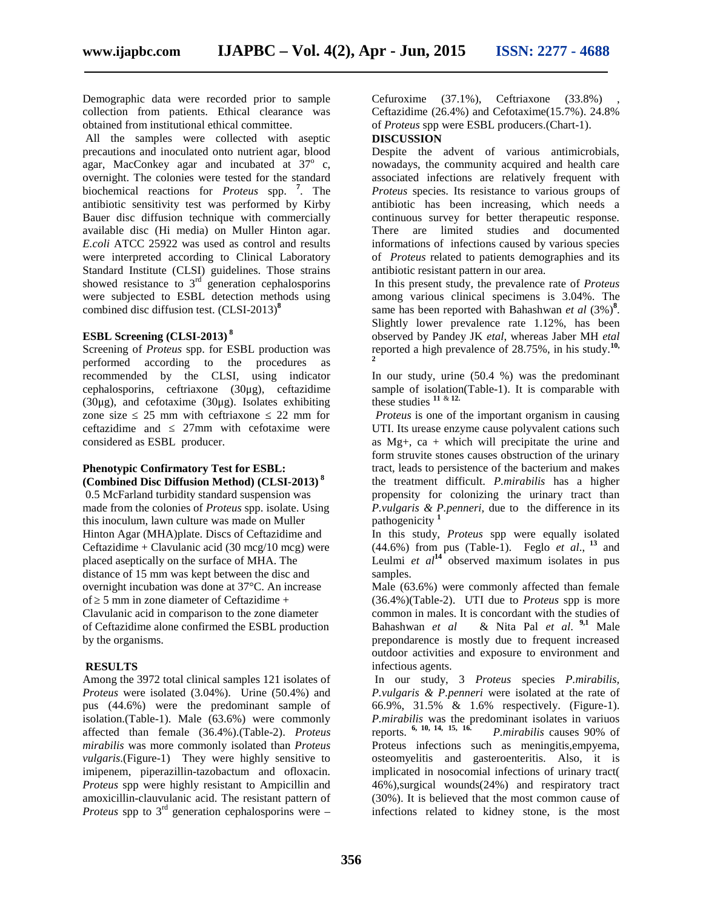Demographic data were recorded prior to sample collection from patients. Ethical clearance was obtained from institutional ethical committee.

All the samples were collected with aseptic precautions and inoculated onto nutrient agar, blood agar, MacConkey agar and incubated at  $37^\circ$  c, overnight. The colonies were tested for the standard biochemical reactions for *Proteus* spp. **<sup>7</sup>** . The antibiotic sensitivity test was performed by Kirby Bauer disc diffusion technique with commercially available disc (Hi media) on Muller Hinton agar. *E.coli* ATCC 25922 was used as control and results were interpreted according to Clinical Laboratory Standard Institute (CLSI) guidelines. Those strains showed resistance to  $3<sup>rd</sup>$  generation cephalosporins were subjected to ESBL detection methods using combined disc diffusion test. (CLSI-2013) **8**

### **ESBL Screening (CLSI-2013) <sup>8</sup>**

Screening of *Proteus* spp. for ESBL production was performed according to the procedures as recommended by the CLSI, using indicator cephalosporins, ceftriaxone (30μg), ceftazidime (30μg), and cefotaxime (30μg). Isolates exhibiting zone size  $25 \text{ mm}$  with ceftriaxone  $22 \text{ mm}$  for ceftazidime and 27mm with cefotaxime were considered as ESBL producer.

#### **Phenotypic Confirmatory Test for ESBL: (Combined Disc Diffusion Method) (CLSI-2013) <sup>8</sup>**

0.5 McFarland turbidity standard suspension was made from the colonies of *Proteus* spp. isolate. Using this inoculum, lawn culture was made on Muller Hinton Agar (MHA)plate. Discs of Ceftazidime and Ceftazidime + Clavulanic acid (30 mcg/10 mcg) were placed aseptically on the surface of MHA. The distance of 15 mm was kept between the disc and overnight incubation was done at 37°C. An increase of  $5 \text{ mm}$  in zone diameter of Ceftazidime + Clavulanic acid in comparison to the zone diameter of Ceftazidime alone confirmed the ESBL production by the organisms.

#### **RESULTS**

Among the 3972 total clinical samples 121 isolates of *Proteus* were isolated (3.04%). Urine (50.4%) and pus (44.6%) were the predominant sample of isolation.(Table-1). Male (63.6%) were commonly affected than female (36.4%).(Table-2). *Proteus mirabilis* was more commonly isolated than *Proteus vulgaris*.(Figure-1) They were highly sensitive to imipenem, piperazillin-tazobactum and ofloxacin. *Proteus* spp were highly resistant to Ampicillin and amoxicillin-clauvulanic acid. The resistant pattern of *Proteus* spp to 3<sup>rd</sup> generation cephalosporins were –

Cefuroxime  $(37.1\%)$ , Ceftriaxone  $(33.8\%)$ Ceftazidime (26.4%) and Cefotaxime(15.7%). 24.8% of *Proteus* spp were ESBL producers.(Chart-1). **DISCUSSION**

Despite the advent of various antimicrobials, nowadays, the community acquired and health care associated infections are relatively frequent with *Proteus* species. Its resistance to various groups of antibiotic has been increasing, which needs a continuous survey for better therapeutic response. There are limited studies and documented informations of infections caused by various species of *Proteus* related to patients demographies and its antibiotic resistant pattern in our area.

In this present study, the prevalence rate of *Proteus* among various clinical specimens is 3.04%. The same has been reported with Bahashwan *et al* (3%)**<sup>8</sup>** . Slightly lower prevalence rate 1.12%, has been observed by Pandey JK *etal*, whereas Jaber MH *etal* reported a high prevalence of  $28.75\%$ , in his study.<sup>10,</sup>

In our study, urine (50.4 %) was the predominant sample of isolation(Table-1). It is comparable with these studies **<sup>11</sup>** & **12.**

*Proteus* is one of the important organism in causing UTI. Its urease enzyme cause polyvalent cations such as  $Mg<sub>+</sub>$ , ca + which will precipitate the urine and form struvite stones causes obstruction of the urinary tract, leads to persistence of the bacterium and makes the treatment difficult. *P.mirabilis* has a higher propensity for colonizing the urinary tract than *P.vulgaris & P.penneri,* due to the difference in its pathogenicity **<sup>1</sup>**

In this study, *Proteus* spp were equally isolated (44.6%) from pus (Table-1). Feglo *et al*., **<sup>13</sup>** and Leulmi *et*  $al^{14}$  observed maximum isolates in pus samples.

Male (63.6%) were commonly affected than female (36.4%)(Table-2). UTI due to *Proteus* spp is more common in males. It is concordant with the studies of Bahashwan *et al* & Nita Pal *et al*. **9,1** Male prepondarence is mostly due to frequent increased outdoor activities and exposure to environment and infectious agents.

In our study, 3 *Proteus* species *P.mirabilis, P.vulgaris & P.penneri* were isolated at the rate of 66.9%, 31.5% & 1.6% respectively. (Figure-1). *P.mirabilis* was the predominant isolates in variuos reports. **6, 10, 14, 15, 16.** *P.mirabilis* causes 90% of Proteus infections such as meningitis,empyema, osteomyelitis and gasteroenteritis. Also, it is implicated in nosocomial infections of urinary tract( 46%),surgical wounds(24%) and respiratory tract (30%). It is believed that the most common cause of infections related to kidney stone, is the most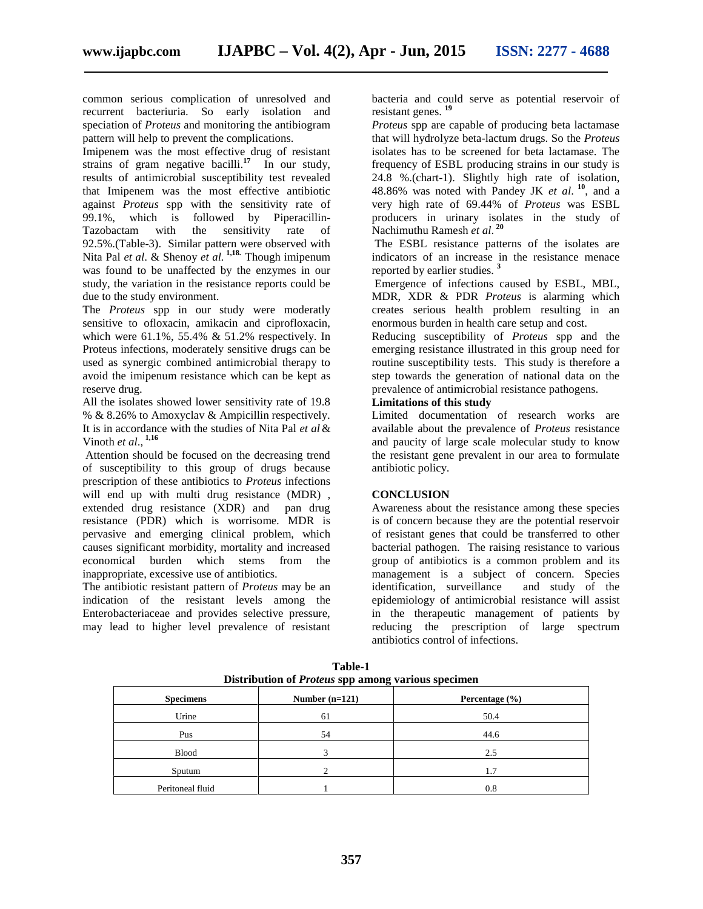common serious complication of unresolved and recurrent bacteriuria. So early isolation and speciation of *Proteus* and monitoring the antibiogram pattern will help to prevent the complications.

Imipenem was the most effective drug of resistant strains of gram negative bacilli.<sup>17</sup> In our study, results of antimicrobial susceptibility test revealed that Imipenem was the most effective antibiotic against *Proteus* spp with the sensitivity rate of 99.1%, which is followed by Piperacillin- Tazobactam with the sensitivity rate of 92.5%.(Table-3). Similar pattern were observed with Nita Pal *et al*. & Shenoy *et al.* **1,18.** Though imipenum was found to be unaffected by the enzymes in our study, the variation in the resistance reports could be due to the study environment.

The *Proteus* spp in our study were moderatly sensitive to ofloxacin, amikacin and ciprofloxacin, which were  $61.1\%$ , 55.4% & 51.2% respectively. In Proteus infections, moderately sensitive drugs can be used as synergic combined antimicrobial therapy to avoid the imipenum resistance which can be kept as reserve drug.

All the isolates showed lower sensitivity rate of 19.8 % & 8.26% to Amoxyclav & Ampicillin respectively. It is in accordance with the studies of Nita Pal *et al* & Vinoth *et al*., **1,16**

Attention should be focused on the decreasing trend of susceptibility to this group of drugs because prescription of these antibiotics to *Proteus* infections will end up with multi drug resistance (MDR). extended drug resistance (XDR) and pan drug resistance (PDR) which is worrisome. MDR is pervasive and emerging clinical problem, which causes significant morbidity, mortality and increased economical burden which stems from the inappropriate, excessive use of antibiotics.

The antibiotic resistant pattern of *Proteus* may be an indication of the resistant levels among the Enterobacteriaceae and provides selective pressure, may lead to higher level prevalence of resistant bacteria and could serve as potential reservoir of resistant genes. **<sup>19</sup>**

*Proteus* spp are capable of producing beta lactamase that will hydrolyze beta-lactum drugs. So the *Proteus* isolates has to be screened for beta lactamase. The frequency of ESBL producing strains in our study is 24.8 %.(chart-1). Slightly high rate of isolation, 48.86% was noted with Pandey JK *et al*. **<sup>10</sup>**, and a very high rate of 69.44% of *Proteus* was ESBL producers in urinary isolates in the study of Nachimuthu Ramesh *et al*. **<sup>20</sup>**

The ESBL resistance patterns of the isolates are indicators of an increase in the resistance menace reported by earlier studies. **<sup>3</sup>**

Emergence of infections caused by ESBL, MBL, MDR, XDR & PDR *Proteus* is alarming which creates serious health problem resulting in an enormous burden in health care setup and cost.

Reducing susceptibility of *Proteus* spp and the emerging resistance illustrated in this group need for routine susceptibility tests. This study is therefore a step towards the generation of national data on the prevalence of antimicrobial resistance pathogens.

### **Limitations of this study**

Limited documentation of research works are available about the prevalence of *Proteus* resistance and paucity of large scale molecular study to know the resistant gene prevalent in our area to formulate antibiotic policy.

#### **CONCLUSION**

Awareness about the resistance among these species is of concern because they are the potential reservoir of resistant genes that could be transferred to other bacterial pathogen. The raising resistance to various group of antibiotics is a common problem and its management is a subject of concern. Species identification, surveillance and study of the epidemiology of antimicrobial resistance will assist in the therapeutic management of patients by reducing the prescription of large spectrum antibiotics control of infections.

| <b>Specimens</b> | -<br>Number $(n=121)$ | Percentage $(\% )$ |
|------------------|-----------------------|--------------------|
| Urine            | 61                    | 50.4               |
| Pus              | 54                    | 44.6               |
| <b>Blood</b>     | 3                     | 2.5                |
| Sputum           | ◠                     | 1.7                |
| Peritoneal fluid |                       | 0.8                |

**Table-1 Distribution of** *Proteus* **spp among various specimen**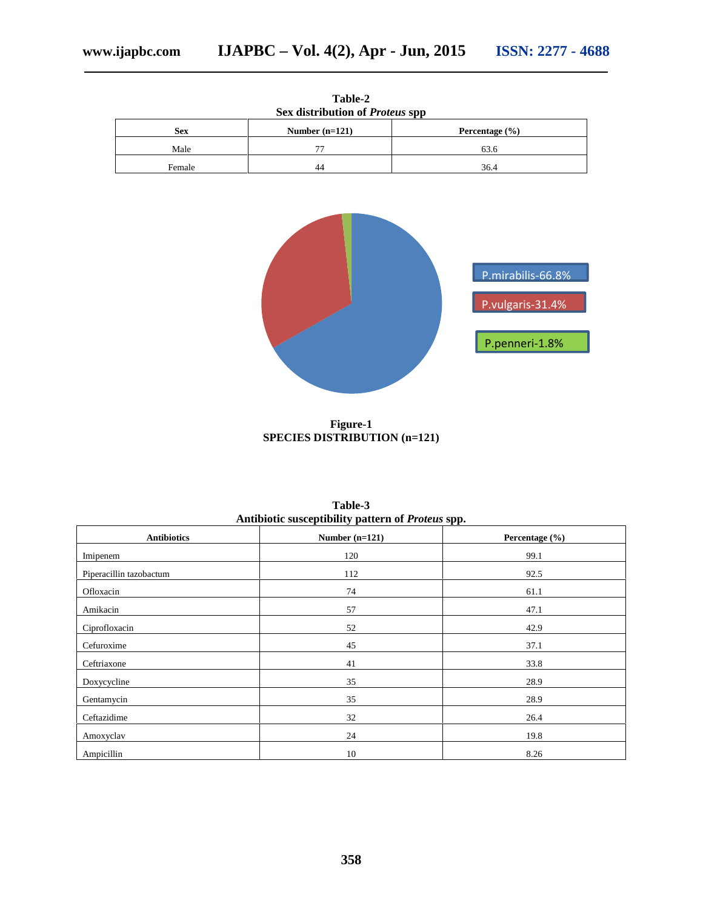| Table-2<br>Sex distribution of <i>Proteus</i> spp |                  |                    |  |  |
|---------------------------------------------------|------------------|--------------------|--|--|
| <b>Sex</b>                                        | Number $(n=121)$ | Percentage $(\% )$ |  |  |
| Male                                              | 77               | 63.6               |  |  |
| Female                                            | 44               | 36.4               |  |  |



**Figure-1 SPECIES DISTRIBUTION (n=121)**

| -11.                    |                  |                |  |  |
|-------------------------|------------------|----------------|--|--|
| <b>Antibiotics</b>      | Number $(n=121)$ | Percentage (%) |  |  |
| Imipenem                | 120              | 99.1           |  |  |
| Piperacillin tazobactum | 112              | 92.5           |  |  |
| Ofloxacin               | 74               | 61.1           |  |  |
| Amikacin                | 57               | 47.1           |  |  |
| Ciprofloxacin           | 52               | 42.9           |  |  |
| Cefuroxime              | 45               | 37.1           |  |  |
| Ceftriaxone             | 41               | 33.8           |  |  |
| Doxycycline             | 35               | 28.9           |  |  |
| Gentamycin              | 35               | 28.9           |  |  |
| Ceftazidime             | 32               | 26.4           |  |  |
| Amoxyclav               | 24               | 19.8           |  |  |
| Ampicillin              | 10               | 8.26           |  |  |

**Table-3 Antibiotic susceptibility pattern of** *Proteus* **spp.**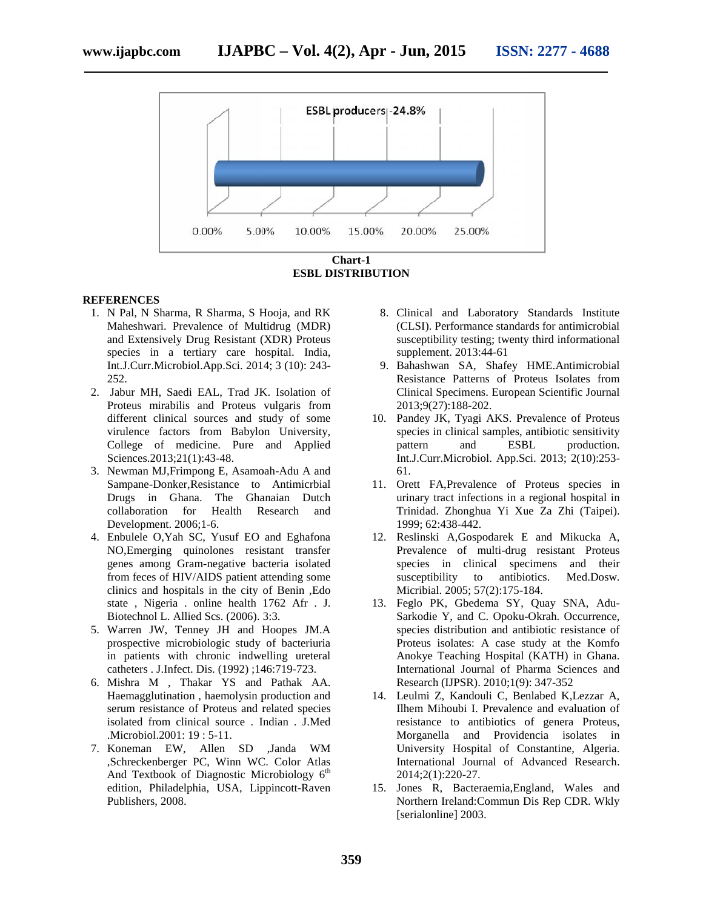

**ESBL DISTRIBUTION**

#### **REFERENCES**

- 1. N Pal, N Sharma, R Sharma, S Hooja, and RK Maheshwari. Prevalence of Multidrug (MDR) and Extensively Drug Resistant (XDR) Proteus species in a tertiary care hospital. India, Int.J.Curr.Microbiol.App.Sci. 2014; 3 (10): 243- 252. valence of Multidrug (MDR)<br>Drug Resistant (XDR) Proteus<br>ertiary care hospital. India,<br>iol.App.Sci. 2014; 3 (10): 243-
- 2. Jabur MH, Saedi EAL, Trad JK. Isolation of Proteus mirabilis and Proteus vulgaris from different clinical sources and study of some virulence factors from Babylon University, College of medicine. Pure and Applied Sciences.2013;21(1):43-48. nirabilis and Proteus vulgaris from<br>clinical sources and study of some<br>factors from Babylon University,<br>of medicine. Pure and Applied
- 3. Newman MJ, Frimpong E, Asamoah-Adu A and Sampane-Donker,Resistance to Antimicrbial Drugs in Ghana. The Ghanaian Dutch collaboration for Health Research and Development. 2006;1-6.
- 4. Enbulele O, Yah SC, Yusuf EO and Eghafona NO,Emerging quinolones resistant transfer genes among Gram-negative bacteria isolated from feces of HIV/AIDS patient attending some from feces of HIV/AIDS patient attending some<br>clinics and hospitals in the city of Benin ,Edo state, Nigeria. online health 1762 Afr. J. Biotechnol L. Allied Scs. (2006). 3:3.
- 5. Warren JW, Tenney JH and Hoopes JM.A prospective microbiologic study of bacteriuria in patients with chronic indwelling ureteral catheters . J.Infect. Dis. (1992) ;146:719-723. JW, Tenney JH and Hoopes JM.A<br>ve microbiologic study of bacteriuria<br>tts with chronic indwelling ureteral<br>.J.Infect. Dis. (1992) ;146:719-723.<br>M , Thakar YS and Pathak AA.<br>glutination , haemolysin production and<br>sistance of
- 6. Mishra M , Thakar YS and Pathak AA. Haemagglutination , haemolysin production and serum resistance of Proteus and related species isolated from clinical source . Indian . J.Med .Microbiol.2001: 19 : 5-11.
- 7. Koneman EW, Allen SD ,Janda WM ,Schreckenberger PC, Winn WC. Color Atlas And Textbook of Diagnostic Microbiology 6<sup>th</sup> edition, Philadelphia, USA, Lippincott-Raven Publishers, 2008. Fire 5-11.<br>Allen SD ,Janda V.<br>PC, Winn W.C Color A<br>Diagnostic Microbiology
- 8. Clinical and Laboratory Standards Institute (CLSI). Performance standards for antimicrobial susceptibility testing; twenty third informational supplement. 2013:44-61 Clinical and Laboratory Standards Institute<br>(CLSI). Performance standards for antimicrobial<br>susceptibility testing; twenty third informational<br>supplement. 2013:44-61<br>Bahashwan SA, Shafey HME.Antimicrobial<br>Resistance Patter
- 9. Bahashwan SA, Shafey HME.Antimicrobial Resistance Patterns of Proteus Isolates from Clinical Specimens. European Scientific Journal 2013;9(27):188-202.
- 10. Pandey JK, Tyagi AKS. Prevalence of Proteus species in clinical samples, antibiotic sensitivity pattern and ESBL production. Int.J.Curr.Microbiol. App.Sci. 2013; 2(10):253-<br>61.<br>Orett FA,Prevalence of Proteus species in 61. and
- 11. Orett FA,Prevalence of Proteus species in urinary tract infections in a regional hospital in Trinidad. Zhonghua Yi Xue Za Zhi (Taipei). 1999; 62:438-442.
- 12. Reslinski A,Gospodarek E and Mikucka A, Prevalence of multi-drug resistant Proteus species in clinical specimens and their<br>susceptibility to antibiotics. Med.Dosw.<br>Micribial. 2005; 57(2):175-184. susceptibility to antibiotics. Med.Dosw. Micribial. 2005; 57(2):175-184.
- 13. Feglo PK, Gbedema SY, Quay SNA, Adu- Sarkodie Y, and C. Opoku-Okrah. Occurrence, species distribution and antibiotic resistance of Proteus isolates: A case study at the Komfo Anokye Teaching Hospital (KATH) in Ghana. International Journal of Pharma Sciences and Research (IJPSR). 2010;1(9): 347-352 nd C. Opoku-Okrah. Occurrence,<br>sution and antibiotic resistance of<br>es: A case study at the Komfo<br>hing Hospital (KATH) in Ghana.<br>Journal of Pharma Sciences and<br>SR). 2010;1(9): 347-352<br>nndouli C, Benlabed K,Lezzar A,<br>bi I. P
- 14. Leulmi Z, Kandouli C, Benlabed K,Lezzar A, Ilhem Mihoubi I. Prevalence and evaluation of resistance to antibiotics of genera Proteus, Morganella and Providencia isolates in University Hospital of Constantine, Algeria. International Journal of Advanced Research. 2014;2(1):220-27.
- 15. Jones R, Bacteraemia,England, Wales and R, Bacteraemia,England, Northern Ireland:Commun Dis Rep CDR. Wkly [serialonline] 2003.